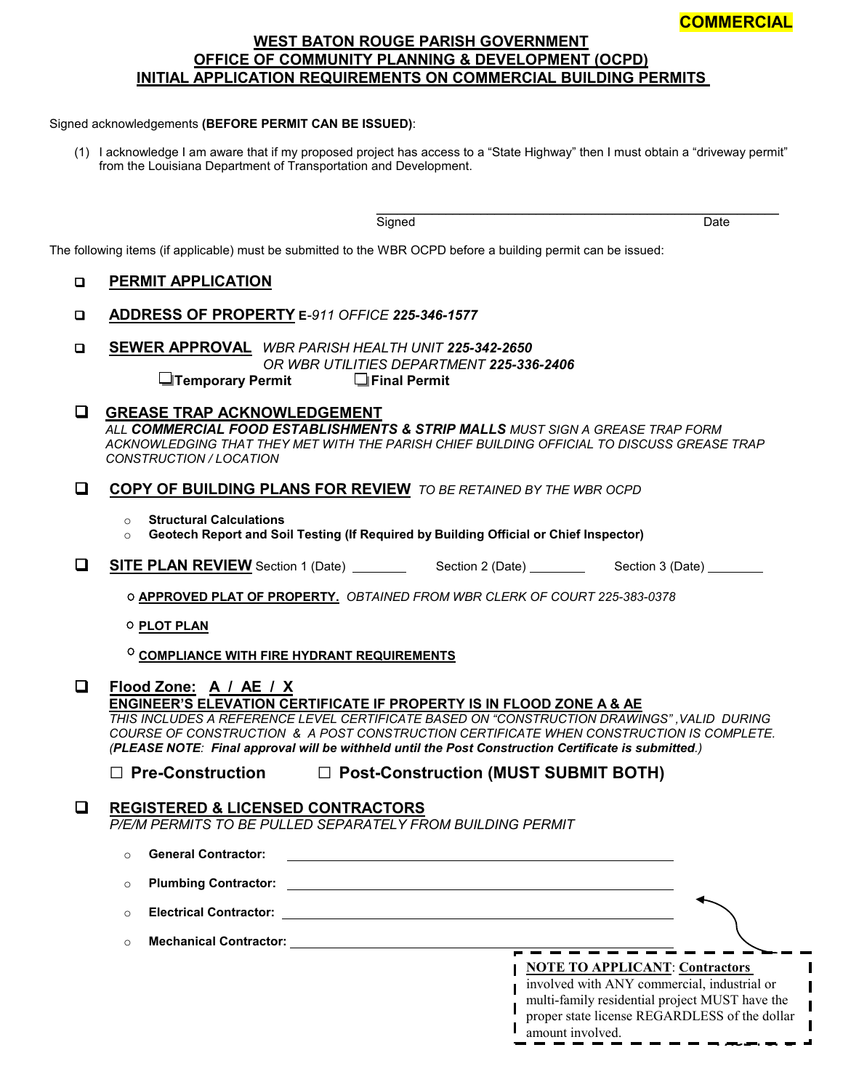#### **COMMERCIAL**

**PAGE 1 OF 2**

I

### **WEST BATON ROUGE PARISH GOVERNMENT OFFICE OF COMMUNITY PLANNING & DEVELOPMENT (OCPD) INITIAL APPLICATION REQUIREMENTS ON COMMERCIAL BUILDING PERMITS**

#### Signed acknowledgements **(BEFORE PERMIT CAN BE ISSUED)**:

(1) I acknowledge I am aware that if my proposed project has access to a "State Highway" then I must obtain a "driveway permit" from the Louisiana Department of Transportation and Development.

> \_\_\_\_\_\_\_\_\_\_\_\_\_\_\_\_\_\_\_\_\_\_\_\_\_\_\_\_\_\_\_\_\_\_\_\_\_\_\_\_\_\_\_\_\_\_\_\_\_\_\_\_\_\_\_\_\_\_ Signed Date

|        | The following items (if applicable) must be submitted to the WBR OCPD before a building permit can be issued:                                                                                                                                                                                                                                                                                              |  |  |  |  |  |  |  |
|--------|------------------------------------------------------------------------------------------------------------------------------------------------------------------------------------------------------------------------------------------------------------------------------------------------------------------------------------------------------------------------------------------------------------|--|--|--|--|--|--|--|
| $\Box$ | <b>PERMIT APPLICATION</b>                                                                                                                                                                                                                                                                                                                                                                                  |  |  |  |  |  |  |  |
| □      | ADDRESS OF PROPERTY E-911 OFFICE 225-346-1577                                                                                                                                                                                                                                                                                                                                                              |  |  |  |  |  |  |  |
| Q      | <b>SEWER APPROVAL</b> WBR PARISH HEALTH UNIT 225-342-2650<br>OR WBR UTILITIES DEPARTMENT 225-336-2406<br>$\Box$ Final Permit<br><b>I</b> Temporary Permit                                                                                                                                                                                                                                                  |  |  |  |  |  |  |  |
| ப      | <b>GREASE TRAP ACKNOWLEDGEMENT</b><br>ALL COMMERCIAL FOOD ESTABLISHMENTS & STRIP MALLS MUST SIGN A GREASE TRAP FORM<br>ACKNOWLEDGING THAT THEY MET WITH THE PARISH CHIEF BUILDING OFFICIAL TO DISCUSS GREASE TRAP<br>CONSTRUCTION / LOCATION                                                                                                                                                               |  |  |  |  |  |  |  |
| O      | COPY OF BUILDING PLANS FOR REVIEW TO BE RETAINED BY THE WBR OCPD                                                                                                                                                                                                                                                                                                                                           |  |  |  |  |  |  |  |
|        | <b>Structural Calculations</b><br>$\circ$<br>Geotech Report and Soil Testing (If Required by Building Official or Chief Inspector)<br>$\circ$                                                                                                                                                                                                                                                              |  |  |  |  |  |  |  |
| ❏      |                                                                                                                                                                                                                                                                                                                                                                                                            |  |  |  |  |  |  |  |
|        | O APPROVED PLAT OF PROPERTY. OBTAINED FROM WBR CLERK OF COURT 225-383-0378                                                                                                                                                                                                                                                                                                                                 |  |  |  |  |  |  |  |
|        | O PLOT PLAN                                                                                                                                                                                                                                                                                                                                                                                                |  |  |  |  |  |  |  |
|        | <b>COMPLIANCE WITH FIRE HYDRANT REQUIREMENTS</b>                                                                                                                                                                                                                                                                                                                                                           |  |  |  |  |  |  |  |
| Q      | Flood Zone: A / AE / X<br><b>ENGINEER'S ELEVATION CERTIFICATE IF PROPERTY IS IN FLOOD ZONE A &amp; AE</b><br>THIS INCLUDES A REFERENCE LEVEL CERTIFICATE BASED ON "CONSTRUCTION DRAWINGS", VALID DURING<br>COURSE OF CONSTRUCTION & A POST CONSTRUCTION CERTIFICATE WHEN CONSTRUCTION IS COMPLETE.<br>(PLEASE NOTE: Final approval will be withheld until the Post Construction Certificate is submitted.) |  |  |  |  |  |  |  |
|        | $\Box$ Pre-Construction<br>□ Post-Construction (MUST SUBMIT BOTH)                                                                                                                                                                                                                                                                                                                                          |  |  |  |  |  |  |  |
| О      | <b>REGISTERED &amp; LICENSED CONTRACTORS</b><br>P/E/M PERMITS TO BE PULLED SEPARATELY FROM BUILDING PERMIT                                                                                                                                                                                                                                                                                                 |  |  |  |  |  |  |  |
|        | o General Contractor:                                                                                                                                                                                                                                                                                                                                                                                      |  |  |  |  |  |  |  |
|        | <b>Plumbing Contractor:</b><br>$\circ$                                                                                                                                                                                                                                                                                                                                                                     |  |  |  |  |  |  |  |
|        | $\circ$                                                                                                                                                                                                                                                                                                                                                                                                    |  |  |  |  |  |  |  |
|        | $\circ$                                                                                                                                                                                                                                                                                                                                                                                                    |  |  |  |  |  |  |  |
|        | <b>NOTE TO APPLICANT: Contractors</b><br>involved with ANY commercial, industrial or<br>multi-family residential project MUST have the<br>proper state license REGARDLESS of the dollar<br>amount involved.                                                                                                                                                                                                |  |  |  |  |  |  |  |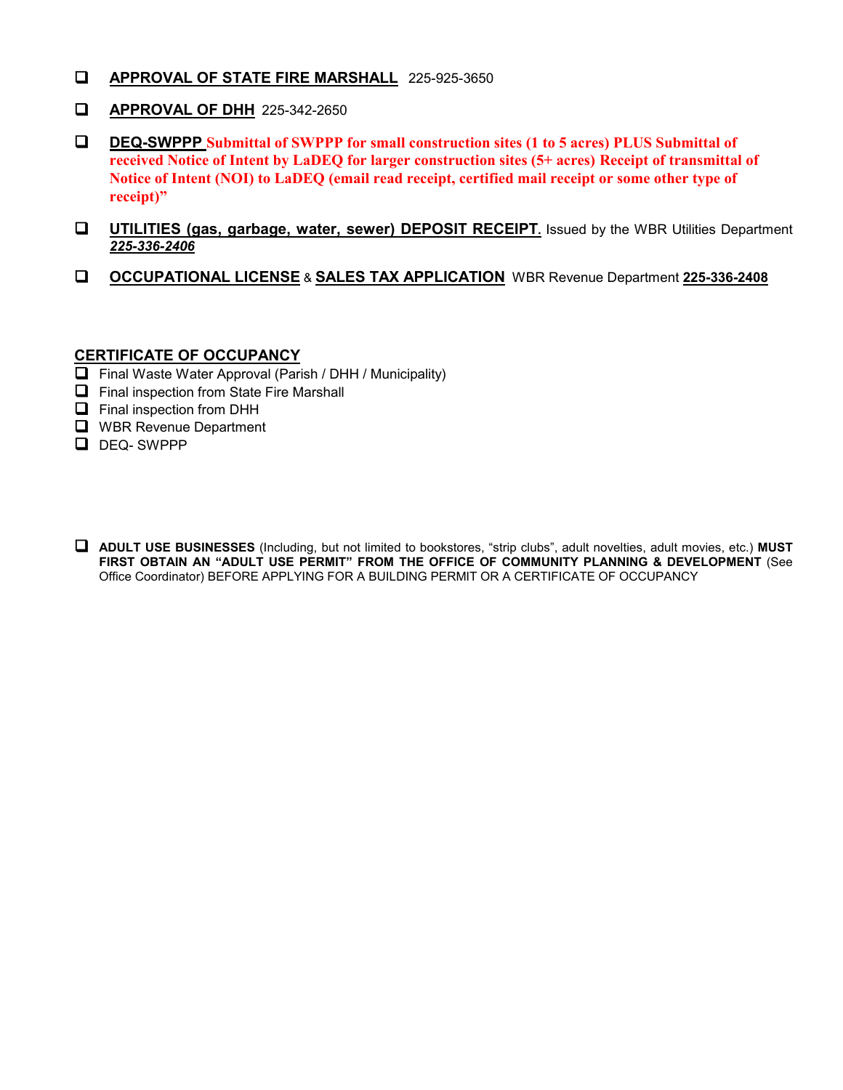- **APPROVAL OF STATE FIRE MARSHALL** 225-925-3650
- **APPROVAL OF DHH** 225-342-2650
- **DEQ-SWPPP Submittal of SWPPP for small construction sites (1 to 5 acres) PLUS Submittal of received Notice of Intent by LaDEQ for larger construction sites (5+ acres) Receipt of transmittal of Notice of Intent (NOI) to LaDEQ (email read receipt, certified mail receipt or some other type of receipt)"**
- **UTILITIES (gas, garbage, water, sewer) DEPOSIT RECEIPT.** Issued by the WBR Utilities Department *225-336-2406*
- **OCCUPATIONAL LICENSE** & **SALES TAX APPLICATION** WBR Revenue Department **225-336-2408**

### **CERTIFICATE OF OCCUPANCY**

- $\Box$  Final Waste Water Approval (Parish / DHH / Municipality)
- $\Box$  Final inspection from State Fire Marshall
- **Q** Final inspection from DHH
- **U** WBR Revenue Department
- DEQ-SWPPP
- **ADULT USE BUSINESSES** (Including, but not limited to bookstores, "strip clubs", adult novelties, adult movies, etc.) **MUST FIRST OBTAIN AN "ADULT USE PERMIT" FROM THE OFFICE OF COMMUNITY PLANNING & DEVELOPMENT** (See Office Coordinator) BEFORE APPLYING FOR A BUILDING PERMIT OR A CERTIFICATE OF OCCUPANCY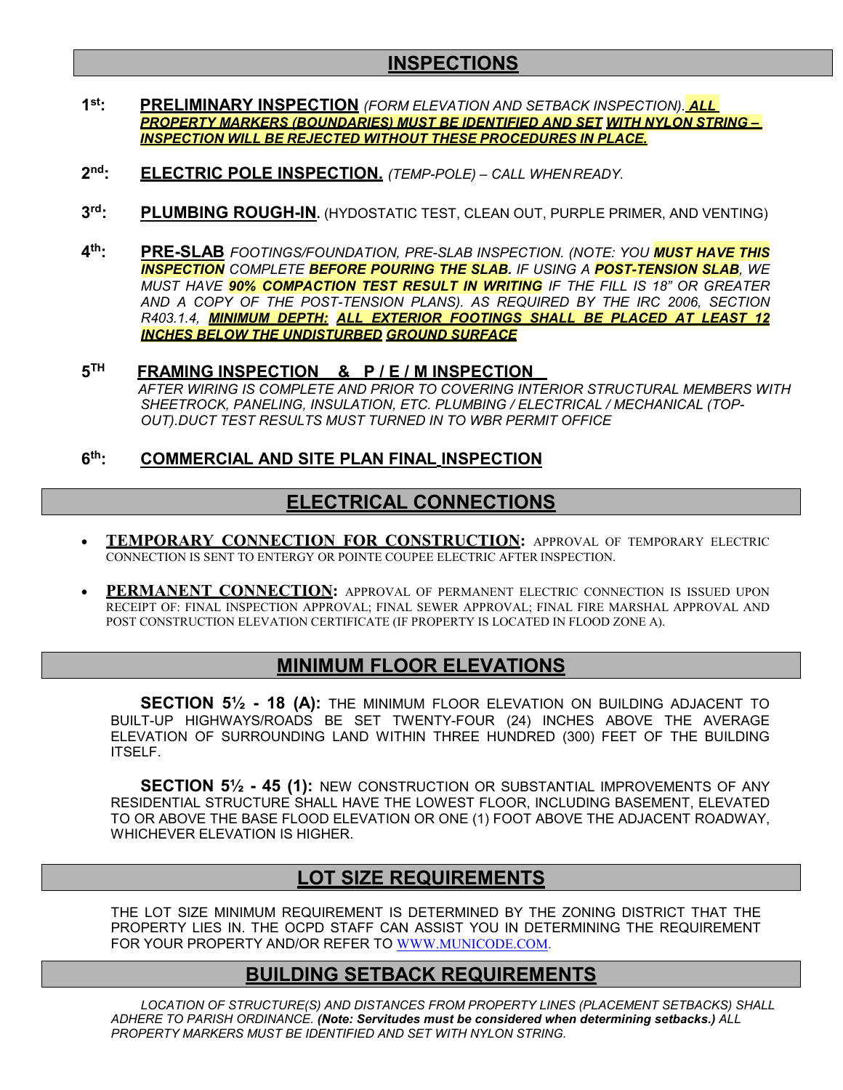# **INSPECTIONS**

- **1st: PRELIMINARY INSPECTION** *(FORM ELEVATION AND SETBACK INSPECTION). ALL PROPERTY MARKERS (BOUNDARIES) MUST BE IDENTIFIED AND SET WITH NYLON STRING – INSPECTION WILL BE REJECTED WITHOUT THESE PROCEDURES IN PLACE.*
- **2nd: ELECTRIC POLE INSPECTION.** *(TEMP-POLE) – CALL WHENREADY.*
- **3rd: PLUMBING ROUGH-IN.** (HYDOSTATIC TEST, CLEAN OUT, PURPLE PRIMER, AND VENTING)
- **4th: PRE-SLAB** *FOOTINGS/FOUNDATION, PRE-SLAB INSPECTION. (NOTE: YOU MUST HAVE THIS INSPECTION COMPLETE BEFORE POURING THE SLAB. IF USING A POST-TENSION SLAB, WE MUST HAVE 90% COMPACTION TEST RESULT IN WRITING IF THE FILL IS 18" OR GREATER AND A COPY OF THE POST-TENSION PLANS). AS REQUIRED BY THE IRC 2006, SECTION R403.1.4, MINIMUM DEPTH: ALL EXTERIOR FOOTINGS SHALL BE PLACED AT LEAST 12 INCHES BELOW THE UNDISTURBED GROUND SURFACE*

## **5TH FRAMING INSPECTION & P / E / M INSPECTION**

*AFTER WIRING IS COMPLETE AND PRIOR TO COVERING INTERIOR STRUCTURAL MEMBERS WITH SHEETROCK, PANELING, INSULATION, ETC. PLUMBING / ELECTRICAL / MECHANICAL (TOP-OUT).DUCT TEST RESULTS MUST TURNED IN TO WBR PERMIT OFFICE*

### **6th: COMMERCIAL AND SITE PLAN FINAL INSPECTION**

## **ELECTRICAL CONNECTIONS**

- **TEMPORARY CONNECTION FOR CONSTRUCTION:** APPROVAL OF TEMPORARY ELECTRIC CONNECTION IS SENT TO ENTERGY OR POINTE COUPEE ELECTRIC AFTER INSPECTION.
- **PERMANENT CONNECTION:** APPROVAL OF PERMANENT ELECTRIC CONNECTION IS ISSUED UPON RECEIPT OF: FINAL INSPECTION APPROVAL; FINAL SEWER APPROVAL; FINAL FIRE MARSHAL APPROVAL AND POST CONSTRUCTION ELEVATION CERTIFICATE (IF PROPERTY IS LOCATED IN FLOOD ZONE A).

## **MINIMUM FLOOR ELEVATIONS**

**SECTION 5½ - 18 (A):** THE MINIMUM FLOOR ELEVATION ON BUILDING ADJACENT TO BUILT-UP HIGHWAYS/ROADS BE SET TWENTY-FOUR (24) INCHES ABOVE THE AVERAGE ELEVATION OF SURROUNDING LAND WITHIN THREE HUNDRED (300) FEET OF THE BUILDING ITSELF.

**SECTION 5½ - 45 (1):** NEW CONSTRUCTION OR SUBSTANTIAL IMPROVEMENTS OF ANY RESIDENTIAL STRUCTURE SHALL HAVE THE LOWEST FLOOR, INCLUDING BASEMENT, ELEVATED TO OR ABOVE THE BASE FLOOD ELEVATION OR ONE (1) FOOT ABOVE THE ADJACENT ROADWAY, WHICHEVER ELEVATION IS HIGHER.

## **LOT SIZE REQUIREMENTS**

THE LOT SIZE MINIMUM REQUIREMENT IS DETERMINED BY THE ZONING DISTRICT THAT THE PROPERTY LIES IN. THE OCPD STAFF CAN ASSIST YOU IN DETERMINING THE REQUIREMENT FOR YOUR PROPERTY AND/OR REFER TO [WWW.MUNICODE.COM.](http://www.municode.com/)

## **BUILDING SETBACK REQUIREMENTS**

*LOCATION OF STRUCTURE(S) AND DISTANCES FROM PROPERTY LINES (PLACEMENT SETBACKS) SHALL ADHERE TO PARISH ORDINANCE. (Note: Servitudes must be considered when determining setbacks.) ALL PROPERTY MARKERS MUST BE IDENTIFIED AND SET WITH NYLON STRING.*